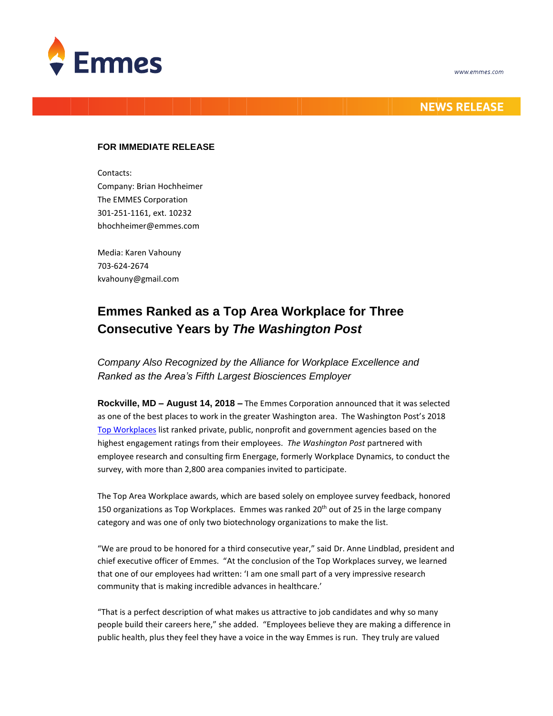



## **NEWS RELEASE**

## **FOR IMMEDIATE RELEASE**

Contacts: Company: Brian Hochheimer The EMMES Corporation 301-251-1161, ext. 10232 bhochheimer@emmes.com

Media: Karen Vahouny 703-624-2674 kvahouny@gmail.com

## **Emmes Ranked as a Top Area Workplace for Three Consecutive Years by** *The Washington Post*

*Company Also Recognized by the Alliance for Workplace Excellence and Ranked as the Area's Fifth Largest Biosciences Employer* 

**Rockville, MD – August 14, 2018 –** The Emmes Corporation announced that it was selected as one of the best places to work in the greater Washington area. The Washington Post's 2018 [Top Workplaces](https://www.washingtonpost.com/graphics/2018/business/top-workplaces/) list ranked private, public, nonprofit and government agencies based on the highest engagement ratings from their employees. *The Washington Post* partnered with employee research and consulting firm Energage, formerly Workplace Dynamics, to conduct the survey, with more than 2,800 area companies invited to participate.

The Top Area Workplace awards, which are based solely on employee survey feedback, honored 150 organizations as Top Workplaces. Emmes was ranked 20<sup>th</sup> out of 25 in the large company category and was one of only two biotechnology organizations to make the list.

"We are proud to be honored for a third consecutive year," said Dr. Anne Lindblad, president and chief executive officer of Emmes. "At the conclusion of the Top Workplaces survey, we learned that one of our employees had written: 'I am one small part of a very impressive research community that is making incredible advances in healthcare.'

"That is a perfect description of what makes us attractive to job candidates and why so many people build their careers here," she added. "Employees believe they are making a difference in public health, plus they feel they have a voice in the way Emmes is run. They truly are valued